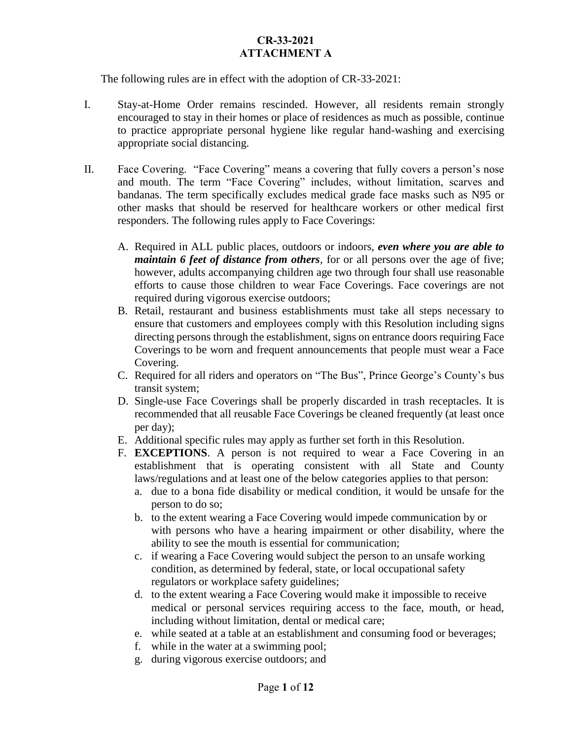The following rules are in effect with the adoption of CR-33-2021:

- I. Stay-at-Home Order remains rescinded. However, all residents remain strongly encouraged to stay in their homes or place of residences as much as possible, continue to practice appropriate personal hygiene like regular hand-washing and exercising appropriate social distancing.
- II. Face Covering. "Face Covering" means a covering that fully covers a person's nose and mouth. The term "Face Covering" includes, without limitation, scarves and bandanas. The term specifically excludes medical grade face masks such as N95 or other masks that should be reserved for healthcare workers or other medical first responders. The following rules apply to Face Coverings:
	- A. Required in ALL public places, outdoors or indoors, *even where you are able to maintain 6 feet of distance from others*, for or all persons over the age of five; however, adults accompanying children age two through four shall use reasonable efforts to cause those children to wear Face Coverings. Face coverings are not required during vigorous exercise outdoors;
	- B. Retail, restaurant and business establishments must take all steps necessary to ensure that customers and employees comply with this Resolution including signs directing persons through the establishment, signs on entrance doors requiring Face Coverings to be worn and frequent announcements that people must wear a Face Covering.
	- C. Required for all riders and operators on "The Bus", Prince George's County's bus transit system;
	- D. Single-use Face Coverings shall be properly discarded in trash receptacles. It is recommended that all reusable Face Coverings be cleaned frequently (at least once per day);
	- E. Additional specific rules may apply as further set forth in this Resolution.
	- F. **EXCEPTIONS**. A person is not required to wear a Face Covering in an establishment that is operating consistent with all State and County laws/regulations and at least one of the below categories applies to that person:
		- a. due to a bona fide disability or medical condition, it would be unsafe for the person to do so;
		- b. to the extent wearing a Face Covering would impede communication by or with persons who have a hearing impairment or other disability, where the ability to see the mouth is essential for communication;
		- c. if wearing a Face Covering would subject the person to an unsafe working condition, as determined by federal, state, or local occupational safety regulators or workplace safety guidelines;
		- d. to the extent wearing a Face Covering would make it impossible to receive medical or personal services requiring access to the face, mouth, or head, including without limitation, dental or medical care;
		- e. while seated at a table at an establishment and consuming food or beverages;
		- f. while in the water at a swimming pool;
		- g. during vigorous exercise outdoors; and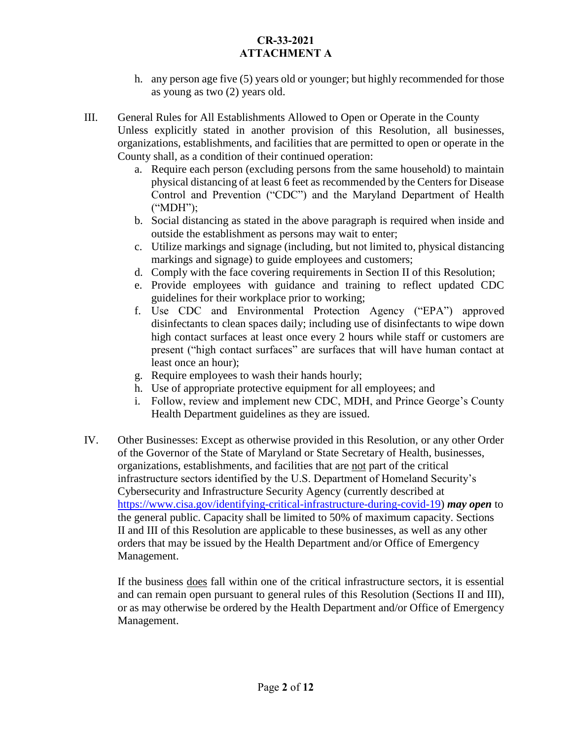- h. any person age five (5) years old or younger; but highly recommended for those as young as two (2) years old.
- III. General Rules for All Establishments Allowed to Open or Operate in the County Unless explicitly stated in another provision of this Resolution, all businesses, organizations, establishments, and facilities that are permitted to open or operate in the County shall, as a condition of their continued operation:
	- a. Require each person (excluding persons from the same household) to maintain physical distancing of at least 6 feet as recommended by the Centers for Disease Control and Prevention ("CDC") and the Maryland Department of Health ("MDH");
	- b. Social distancing as stated in the above paragraph is required when inside and outside the establishment as persons may wait to enter;
	- c. Utilize markings and signage (including, but not limited to, physical distancing markings and signage) to guide employees and customers;
	- d. Comply with the face covering requirements in Section II of this Resolution;
	- e. Provide employees with guidance and training to reflect updated CDC guidelines for their workplace prior to working;
	- f. Use CDC and Environmental Protection Agency ("EPA") approved disinfectants to clean spaces daily; including use of disinfectants to wipe down high contact surfaces at least once every 2 hours while staff or customers are present ("high contact surfaces" are surfaces that will have human contact at least once an hour);
	- g. Require employees to wash their hands hourly;
	- h. Use of appropriate protective equipment for all employees; and
	- i. Follow, review and implement new CDC, MDH, and Prince George's County Health Department guidelines as they are issued.
- IV. Other Businesses: Except as otherwise provided in this Resolution, or any other Order of the Governor of the State of Maryland or State Secretary of Health, businesses, organizations, establishments, and facilities that are not part of the critical infrastructure sectors identified by the U.S. Department of Homeland Security's Cybersecurity and Infrastructure Security Agency (currently described at [https://www.cisa.gov/identifying-critical-infrastructure-during-covid-19\)](https://www.cisa.gov/identifying-critical-infrastructure-during-covid-19) *may open* to the general public. Capacity shall be limited to 50% of maximum capacity. Sections II and III of this Resolution are applicable to these businesses, as well as any other orders that may be issued by the Health Department and/or Office of Emergency Management.

If the business does fall within one of the critical infrastructure sectors, it is essential and can remain open pursuant to general rules of this Resolution (Sections II and III), or as may otherwise be ordered by the Health Department and/or Office of Emergency Management.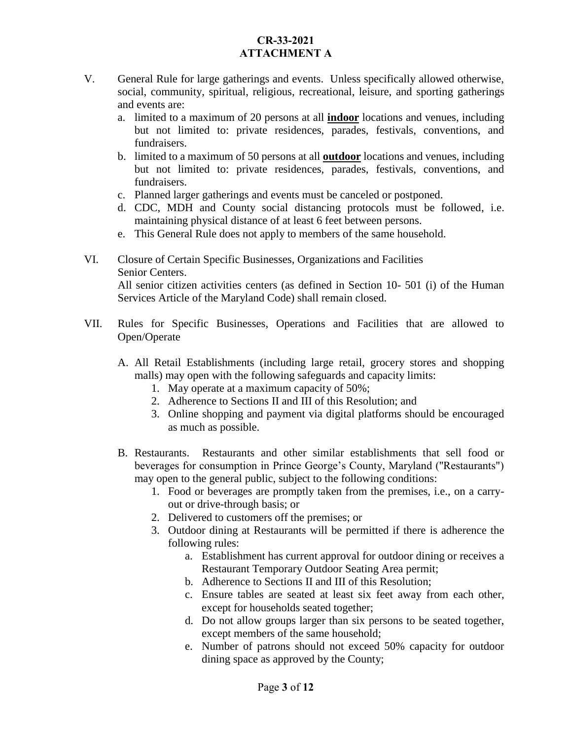- V. General Rule for large gatherings and events. Unless specifically allowed otherwise, social, community, spiritual, religious, recreational, leisure, and sporting gatherings and events are:
	- a. limited to a maximum of 20 persons at all **indoor** locations and venues, including but not limited to: private residences, parades, festivals, conventions, and fundraisers.
	- b. limited to a maximum of 50 persons at all **outdoor** locations and venues, including but not limited to: private residences, parades, festivals, conventions, and fundraisers.
	- c. Planned larger gatherings and events must be canceled or postponed.
	- d. CDC, MDH and County social distancing protocols must be followed, i.e. maintaining physical distance of at least 6 feet between persons.
	- e. This General Rule does not apply to members of the same household.

## VI. Closure of Certain Specific Businesses, Organizations and Facilities Senior Centers. All senior citizen activities centers (as defined in Section 10- 501 (i) of the Human Services Article of the Maryland Code) shall remain closed.

- VII. Rules for Specific Businesses, Operations and Facilities that are allowed to Open/Operate
	- A. All Retail Establishments (including large retail, grocery stores and shopping malls) may open with the following safeguards and capacity limits:
		- 1. May operate at a maximum capacity of 50%;
		- 2. Adherence to Sections II and III of this Resolution; and
		- 3. Online shopping and payment via digital platforms should be encouraged as much as possible.
	- B. Restaurants. Restaurants and other similar establishments that sell food or beverages for consumption in Prince George's County, Maryland (''Restaurants") may open to the general public, subject to the following conditions:
		- 1. Food or beverages are promptly taken from the premises, i.e., on a carryout or drive-through basis; or
		- 2. Delivered to customers off the premises; or
		- 3. Outdoor dining at Restaurants will be permitted if there is adherence the following rules:
			- a. Establishment has current approval for outdoor dining or receives a Restaurant Temporary Outdoor Seating Area permit;
			- b. Adherence to Sections II and III of this Resolution;
			- c. Ensure tables are seated at least six feet away from each other, except for households seated together;
			- d. Do not allow groups larger than six persons to be seated together, except members of the same household;
			- e. Number of patrons should not exceed 50% capacity for outdoor dining space as approved by the County;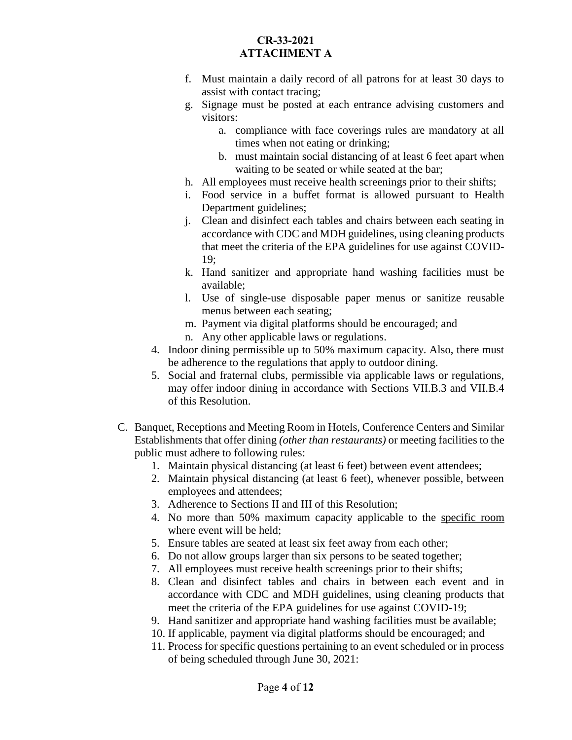- f. Must maintain a daily record of all patrons for at least 30 days to assist with contact tracing;
- g. Signage must be posted at each entrance advising customers and visitors:
	- a. compliance with face coverings rules are mandatory at all times when not eating or drinking;
	- b. must maintain social distancing of at least 6 feet apart when waiting to be seated or while seated at the bar;
- h. All employees must receive health screenings prior to their shifts;
- i. Food service in a buffet format is allowed pursuant to Health Department guidelines;
- j. Clean and disinfect each tables and chairs between each seating in accordance with CDC and MDH guidelines, using cleaning products that meet the criteria of the EPA guidelines for use against COVID-19;
- k. Hand sanitizer and appropriate hand washing facilities must be available;
- l. Use of single-use disposable paper menus or sanitize reusable menus between each seating;
- m. Payment via digital platforms should be encouraged; and
- n. Any other applicable laws or regulations.
- 4. Indoor dining permissible up to 50% maximum capacity. Also, there must be adherence to the regulations that apply to outdoor dining.
- 5. Social and fraternal clubs, permissible via applicable laws or regulations, may offer indoor dining in accordance with Sections VII.B.3 and VII.B.4 of this Resolution.
- C. Banquet, Receptions and Meeting Room in Hotels, Conference Centers and Similar Establishments that offer dining *(other than restaurants)* or meeting facilities to the public must adhere to following rules:
	- 1. Maintain physical distancing (at least 6 feet) between event attendees;
	- 2. Maintain physical distancing (at least 6 feet), whenever possible, between employees and attendees;
	- 3. Adherence to Sections II and III of this Resolution;
	- 4. No more than 50% maximum capacity applicable to the specific room where event will be held;
	- 5. Ensure tables are seated at least six feet away from each other;
	- 6. Do not allow groups larger than six persons to be seated together;
	- 7. All employees must receive health screenings prior to their shifts;
	- 8. Clean and disinfect tables and chairs in between each event and in accordance with CDC and MDH guidelines, using cleaning products that meet the criteria of the EPA guidelines for use against COVID-19;
	- 9. Hand sanitizer and appropriate hand washing facilities must be available;
	- 10. If applicable, payment via digital platforms should be encouraged; and
	- 11. Process for specific questions pertaining to an event scheduled or in process of being scheduled through June 30, 2021: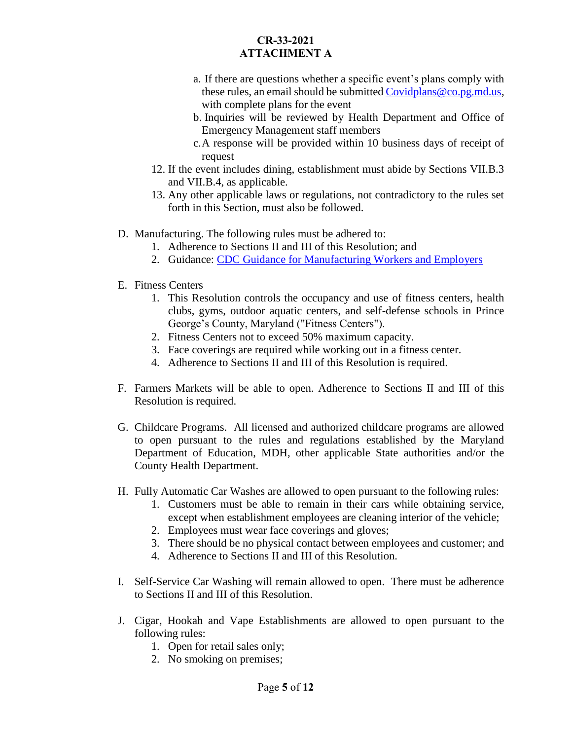- a. If there are questions whether a specific event's plans comply with these rules, an email should be submitted [Covidplans@co.pg.md.us,](mailto:Covidplans@co.pg.md.us) with complete plans for the event
- b. Inquiries will be reviewed by Health Department and Office of Emergency Management staff members
- c.A response will be provided within 10 business days of receipt of request
- 12. If the event includes dining, establishment must abide by Sections VII.B.3 and VII.B.4, as applicable.
- 13. Any other applicable laws or regulations, not contradictory to the rules set forth in this Section, must also be followed.
- D. Manufacturing. The following rules must be adhered to:
	- 1. Adherence to Sections II and III of this Resolution; and
	- 2. Guidance: [CDC Guidance for Manufacturing Workers and Employers](https://www.cdc.gov/coronavirus/2019-ncov/community/guidance-manufacturing-workers-employers.html)
- E. Fitness Centers
	- 1. This Resolution controls the occupancy and use of fitness centers, health clubs, gyms, outdoor aquatic centers, and self-defense schools in Prince George's County, Maryland ("Fitness Centers").
	- 2. Fitness Centers not to exceed 50% maximum capacity.
	- 3. Face coverings are required while working out in a fitness center.
	- 4. Adherence to Sections II and III of this Resolution is required.
- F. Farmers Markets will be able to open. Adherence to Sections II and III of this Resolution is required.
- G. Childcare Programs. All licensed and authorized childcare programs are allowed to open pursuant to the rules and regulations established by the Maryland Department of Education, MDH, other applicable State authorities and/or the County Health Department.
- H. Fully Automatic Car Washes are allowed to open pursuant to the following rules:
	- 1. Customers must be able to remain in their cars while obtaining service, except when establishment employees are cleaning interior of the vehicle;
	- 2. Employees must wear face coverings and gloves;
	- 3. There should be no physical contact between employees and customer; and
	- 4. Adherence to Sections II and III of this Resolution.
- I. Self-Service Car Washing will remain allowed to open. There must be adherence to Sections II and III of this Resolution.
- J. Cigar, Hookah and Vape Establishments are allowed to open pursuant to the following rules:
	- 1. Open for retail sales only;
	- 2. No smoking on premises;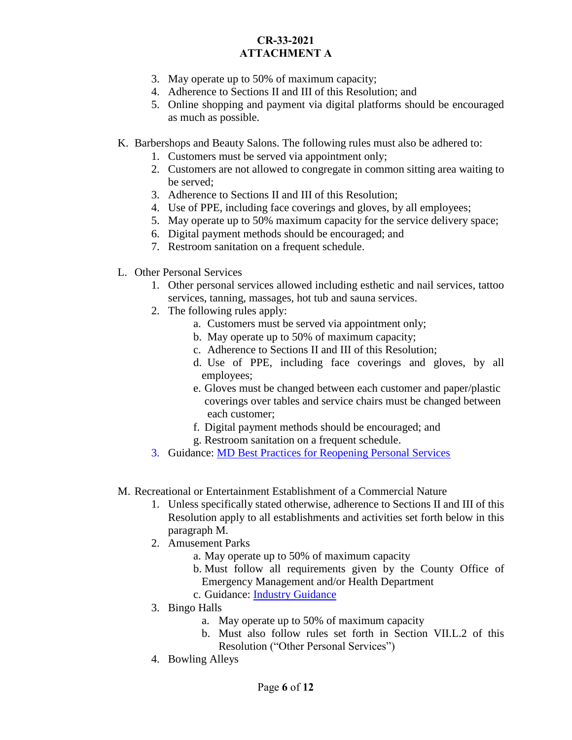- 3. May operate up to 50% of maximum capacity;
- 4. Adherence to Sections II and III of this Resolution; and
- 5. Online shopping and payment via digital platforms should be encouraged as much as possible.
- K. Barbershops and Beauty Salons. The following rules must also be adhered to:
	- 1. Customers must be served via appointment only;
	- 2. Customers are not allowed to congregate in common sitting area waiting to be served;
	- 3. Adherence to Sections II and III of this Resolution;
	- 4. Use of PPE, including face coverings and gloves, by all employees;
	- 5. May operate up to 50% maximum capacity for the service delivery space;
	- 6. Digital payment methods should be encouraged; and
	- 7. Restroom sanitation on a frequent schedule.
- L. Other Personal Services
	- 1. Other personal services allowed including esthetic and nail services, tattoo services, tanning, massages, hot tub and sauna services.
	- 2. The following rules apply:
		- a. Customers must be served via appointment only;
		- b. May operate up to 50% of maximum capacity;
		- c. Adherence to Sections II and III of this Resolution;
		- d. Use of PPE, including face coverings and gloves, by all employees;
		- e. Gloves must be changed between each customer and paper/plastic coverings over tables and service chairs must be changed between each customer;
		- f. Digital payment methods should be encouraged; and
		- g. Restroom sanitation on a frequent schedule.
	- 3. Guidance: [MD Best Practices for Reopening Personal Services](https://open.maryland.gov/backtobusiness/)
- M. Recreational or Entertainment Establishment of a Commercial Nature
	- 1. Unless specifically stated otherwise, adherence to Sections II and III of this Resolution apply to all establishments and activities set forth below in this paragraph M.
	- 2. Amusement Parks
		- a. May operate up to 50% of maximum capacity
		- b. Must follow all requirements given by the County Office of Emergency Management and/or Health Department
		- c. Guidance: [Industry Guidance](https://www.iaapa.org/sites/default/files/2020-05/IAAPA_COVID-19_ReopeningGuidance_rev1_final.pdf)
	- 3. Bingo Halls
		- a. May operate up to 50% of maximum capacity
		- b. Must also follow rules set forth in Section VII.L.2 of this Resolution ("Other Personal Services")
	- 4. Bowling Alleys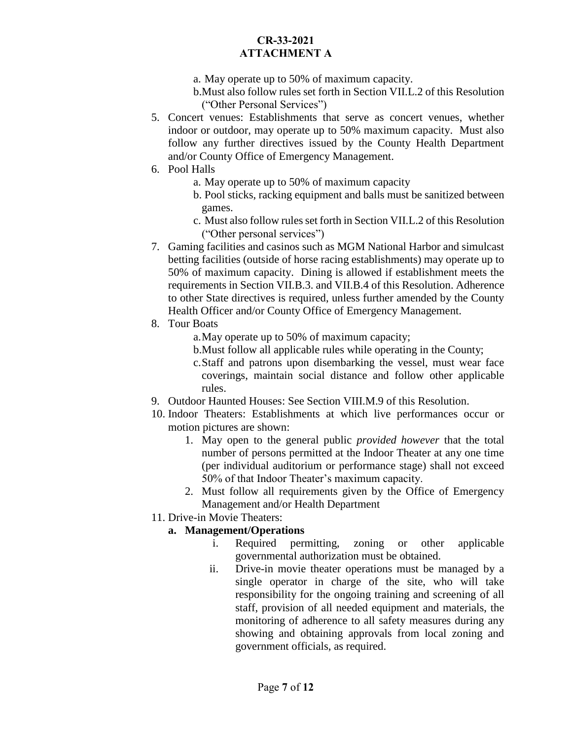- a. May operate up to 50% of maximum capacity.
- b.Must also follow rules set forth in Section VII.L.2 of this Resolution ("Other Personal Services")
- 5. Concert venues: Establishments that serve as concert venues, whether indoor or outdoor, may operate up to 50% maximum capacity. Must also follow any further directives issued by the County Health Department and/or County Office of Emergency Management.
- 6. Pool Halls
	- a. May operate up to 50% of maximum capacity
	- b. Pool sticks, racking equipment and balls must be sanitized between games.
	- c. Must also follow rules set forth in Section VII.L.2 of this Resolution ("Other personal services")
- 7. Gaming facilities and casinos such as MGM National Harbor and simulcast betting facilities (outside of horse racing establishments) may operate up to 50% of maximum capacity. Dining is allowed if establishment meets the requirements in Section VII.B.3. and VII.B.4 of this Resolution. Adherence to other State directives is required, unless further amended by the County Health Officer and/or County Office of Emergency Management.
- 8. Tour Boats
	- a.May operate up to 50% of maximum capacity;
	- b.Must follow all applicable rules while operating in the County;
	- c.Staff and patrons upon disembarking the vessel, must wear face coverings, maintain social distance and follow other applicable rules.
- 9. Outdoor Haunted Houses: See Section VIII.M.9 of this Resolution.
- 10. Indoor Theaters: Establishments at which live performances occur or motion pictures are shown:
	- 1. May open to the general public *provided however* that the total number of persons permitted at the Indoor Theater at any one time (per individual auditorium or performance stage) shall not exceed 50% of that Indoor Theater's maximum capacity.
	- 2. Must follow all requirements given by the Office of Emergency Management and/or Health Department
- 11. Drive-in Movie Theaters:

## **a. Management/Operations**

- i. Required permitting, zoning or other applicable governmental authorization must be obtained.
- ii. Drive-in movie theater operations must be managed by a single operator in charge of the site, who will take responsibility for the ongoing training and screening of all staff, provision of all needed equipment and materials, the monitoring of adherence to all safety measures during any showing and obtaining approvals from local zoning and government officials, as required.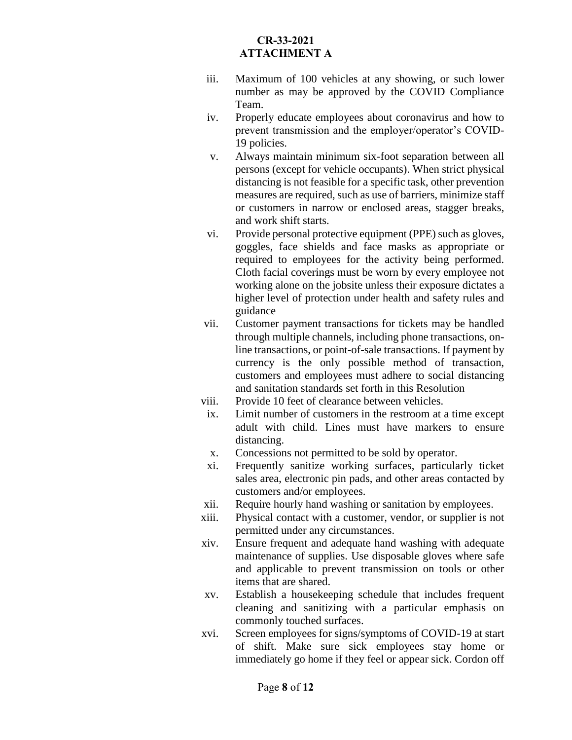- iii. Maximum of 100 vehicles at any showing, or such lower number as may be approved by the COVID Compliance Team.
- iv. Properly educate employees about coronavirus and how to prevent transmission and the employer/operator's COVID-19 policies.
- v. Always maintain minimum six-foot separation between all persons (except for vehicle occupants). When strict physical distancing is not feasible for a specific task, other prevention measures are required, such as use of barriers, minimize staff or customers in narrow or enclosed areas, stagger breaks, and work shift starts.
- vi. Provide personal protective equipment (PPE) such as gloves, goggles, face shields and face masks as appropriate or required to employees for the activity being performed. Cloth facial coverings must be worn by every employee not working alone on the jobsite unless their exposure dictates a higher level of protection under health and safety rules and guidance
- vii. Customer payment transactions for tickets may be handled through multiple channels, including phone transactions, online transactions, or point-of-sale transactions. If payment by currency is the only possible method of transaction, customers and employees must adhere to social distancing and sanitation standards set forth in this Resolution
- viii. Provide 10 feet of clearance between vehicles.
- ix. Limit number of customers in the restroom at a time except adult with child. Lines must have markers to ensure distancing.
- x. Concessions not permitted to be sold by operator.
- xi. Frequently sanitize working surfaces, particularly ticket sales area, electronic pin pads, and other areas contacted by customers and/or employees.
- xii. Require hourly hand washing or sanitation by employees.
- xiii. Physical contact with a customer, vendor, or supplier is not permitted under any circumstances.
- xiv. Ensure frequent and adequate hand washing with adequate maintenance of supplies. Use disposable gloves where safe and applicable to prevent transmission on tools or other items that are shared.
- xv. Establish a housekeeping schedule that includes frequent cleaning and sanitizing with a particular emphasis on commonly touched surfaces.
- xvi. Screen employees for signs/symptoms of COVID-19 at start of shift. Make sure sick employees stay home or immediately go home if they feel or appear sick. Cordon off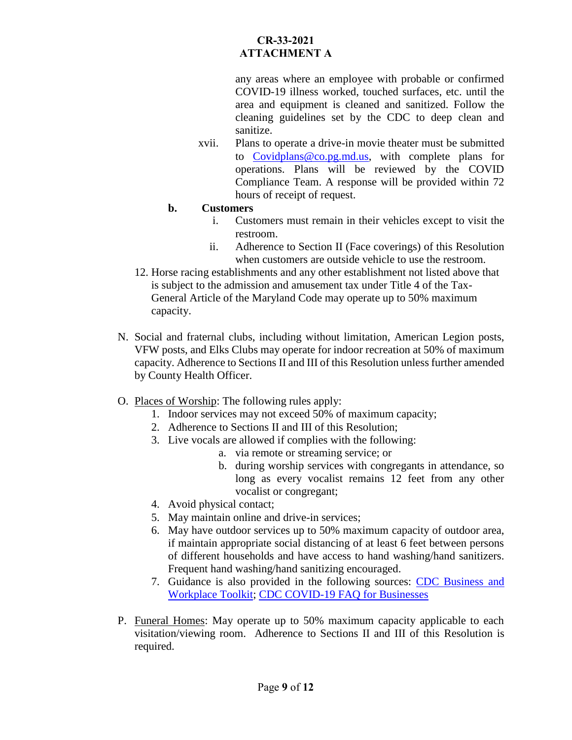any areas where an employee with probable or confirmed COVID-19 illness worked, touched surfaces, etc. until the area and equipment is cleaned and sanitized. Follow the cleaning guidelines set by the CDC to deep clean and sanitize.

xvii. Plans to operate a drive-in movie theater must be submitted to [Covidplans@co.pg.md.us,](mailto:Covidplans@co.pg.md.us) with complete plans for operations. Plans will be reviewed by the COVID Compliance Team. A response will be provided within 72 hours of receipt of request.

#### **b. Customers**

- i. Customers must remain in their vehicles except to visit the restroom.
- ii. Adherence to Section II (Face coverings) of this Resolution when customers are outside vehicle to use the restroom.
- 12. Horse racing establishments and any other establishment not listed above that is subject to the admission and amusement tax under Title 4 of the Tax-General Article of the Maryland Code may operate up to 50% maximum capacity.
- N. Social and fraternal clubs, including without limitation, American Legion posts, VFW posts, and Elks Clubs may operate for indoor recreation at 50% of maximum capacity. Adherence to Sections II and III of this Resolution unless further amended by County Health Officer.

## O. Places of Worship: The following rules apply:

- 1. Indoor services may not exceed 50% of maximum capacity;
- 2. Adherence to Sections II and III of this Resolution;
- 3. Live vocals are allowed if complies with the following:
	- a. via remote or streaming service; or
	- b. during worship services with congregants in attendance, so long as every vocalist remains 12 feet from any other vocalist or congregant;
- 4. Avoid physical contact;
- 5. May maintain online and drive-in services;
- 6. May have outdoor services up to 50% maximum capacity of outdoor area, if maintain appropriate social distancing of at least 6 feet between persons of different households and have access to hand washing/hand sanitizers. Frequent hand washing/hand sanitizing encouraged.
- 7. Guidance is also provided in the following sources: [CDC Business and](https://www.cdc.gov/coronavirus/2019-ncov/community/organizations/businesses-employers.html)  [Workplace Toolkit;](https://www.cdc.gov/coronavirus/2019-ncov/community/organizations/businesses-employers.html) [CDC COVID-19 FAQ for Businesses](https://www.cdc.gov/coronavirus/2019-ncov/community/general-business-faq.html)
- P. Funeral Homes: May operate up to 50% maximum capacity applicable to each visitation/viewing room. Adherence to Sections II and III of this Resolution is required.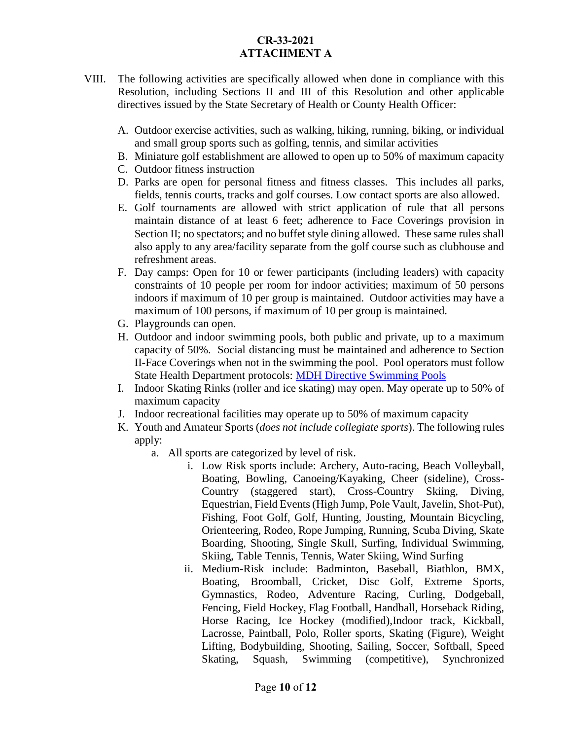- VIII. The following activities are specifically allowed when done in compliance with this Resolution, including Sections II and III of this Resolution and other applicable directives issued by the State Secretary of Health or County Health Officer:
	- A. Outdoor exercise activities, such as walking, hiking, running, biking, or individual and small group sports such as golfing, tennis, and similar activities
	- B. Miniature golf establishment are allowed to open up to 50% of maximum capacity
	- C. Outdoor fitness instruction
	- D. Parks are open for personal fitness and fitness classes. This includes all parks, fields, tennis courts, tracks and golf courses. Low contact sports are also allowed.
	- E. Golf tournaments are allowed with strict application of rule that all persons maintain distance of at least 6 feet; adherence to Face Coverings provision in Section II; no spectators; and no buffet style dining allowed. These same rules shall also apply to any area/facility separate from the golf course such as clubhouse and refreshment areas.
	- F. Day camps: Open for 10 or fewer participants (including leaders) with capacity constraints of 10 people per room for indoor activities; maximum of 50 persons indoors if maximum of 10 per group is maintained. Outdoor activities may have a maximum of 100 persons, if maximum of 10 per group is maintained.
	- G. Playgrounds can open.
	- H. Outdoor and indoor swimming pools, both public and private, up to a maximum capacity of 50%. Social distancing must be maintained and adherence to Section II-Face Coverings when not in the swimming the pool. Pool operators must follow State Health Department protocols: [MDH Directive Swimming Pools](https://phpa.health.maryland.gov/Documents/20.20.06.10.03%20-%20MDH%20Order%20-%20Amended%20Pools.pdf)
	- I. Indoor Skating Rinks (roller and ice skating) may open. May operate up to 50% of maximum capacity
	- J. Indoor recreational facilities may operate up to 50% of maximum capacity
	- K. Youth and Amateur Sports (*does not include collegiate sports*). The following rules apply:
		- a. All sports are categorized by level of risk.
			- i. Low Risk sports include: Archery, Auto-racing, Beach Volleyball, Boating, Bowling, Canoeing/Kayaking, Cheer (sideline), Cross-Country (staggered start), Cross-Country Skiing, Diving, Equestrian, Field Events (High Jump, Pole Vault, Javelin, Shot-Put), Fishing, Foot Golf, Golf, Hunting, Jousting, Mountain Bicycling, Orienteering, Rodeo, Rope Jumping, Running, Scuba Diving, Skate Boarding, Shooting, Single Skull, Surfing, Individual Swimming, Skiing, Table Tennis, Tennis, Water Skiing, Wind Surfing
			- ii. Medium-Risk include: Badminton, Baseball, Biathlon, BMX, Boating, Broomball, Cricket, Disc Golf, Extreme Sports, Gymnastics, Rodeo, Adventure Racing, Curling, Dodgeball, Fencing, Field Hockey, Flag Football, Handball, Horseback Riding, Horse Racing, Ice Hockey (modified),Indoor track, Kickball, Lacrosse, Paintball, Polo, Roller sports, Skating (Figure), Weight Lifting, Bodybuilding, Shooting, Sailing, Soccer, Softball, Speed Skating, Squash, Swimming (competitive), Synchronized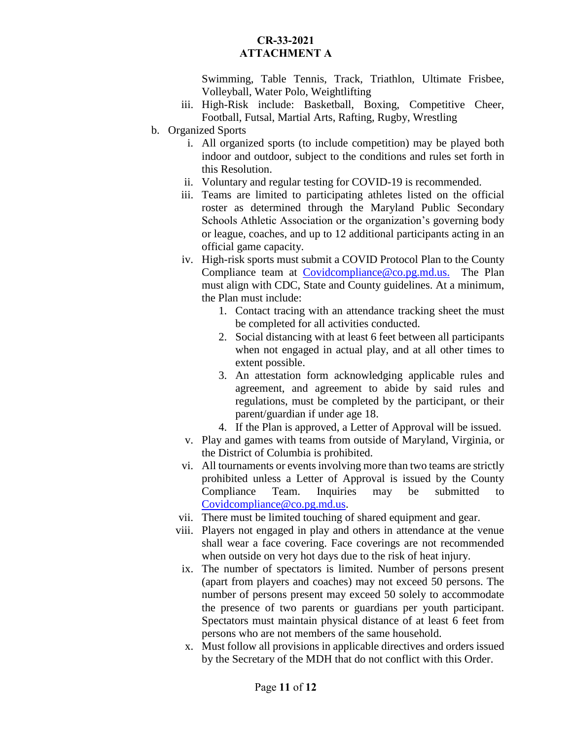Swimming, Table Tennis, Track, Triathlon, Ultimate Frisbee, Volleyball, Water Polo, Weightlifting

- iii. High-Risk include: Basketball, Boxing, Competitive Cheer, Football, Futsal, Martial Arts, Rafting, Rugby, Wrestling
- b. Organized Sports
	- i. All organized sports (to include competition) may be played both indoor and outdoor, subject to the conditions and rules set forth in this Resolution.
	- ii. Voluntary and regular testing for COVID-19 is recommended.
	- iii. Teams are limited to participating athletes listed on the official roster as determined through the Maryland Public Secondary Schools Athletic Association or the organization's governing body or league, coaches, and up to 12 additional participants acting in an official game capacity.
	- iv. High-risk sports must submit a COVID Protocol Plan to the County Compliance team at [Covidcompliance@co.pg.md.us.](mailto:Covidcompliance@co.pg.md.us) The Plan must align with CDC, State and County guidelines. At a minimum, the Plan must include:
		- 1. Contact tracing with an attendance tracking sheet the must be completed for all activities conducted.
		- 2. Social distancing with at least 6 feet between all participants when not engaged in actual play, and at all other times to extent possible.
		- 3. An attestation form acknowledging applicable rules and agreement, and agreement to abide by said rules and regulations, must be completed by the participant, or their parent/guardian if under age 18.
		- 4. If the Plan is approved, a Letter of Approval will be issued.
	- v. Play and games with teams from outside of Maryland, Virginia, or the District of Columbia is prohibited.
	- vi. All tournaments or events involving more than two teams are strictly prohibited unless a Letter of Approval is issued by the County Compliance Team. Inquiries may be submitted to [Covidcompliance@co.pg.md.us.](mailto:Covidcompliance@co.pg.md.us)
	- vii. There must be limited touching of shared equipment and gear.
	- viii. Players not engaged in play and others in attendance at the venue shall wear a face covering. Face coverings are not recommended when outside on very hot days due to the risk of heat injury.
	- ix. The number of spectators is limited. Number of persons present (apart from players and coaches) may not exceed 50 persons. The number of persons present may exceed 50 solely to accommodate the presence of two parents or guardians per youth participant. Spectators must maintain physical distance of at least 6 feet from persons who are not members of the same household.
	- x. Must follow all provisions in applicable directives and orders issued by the Secretary of the MDH that do not conflict with this Order.